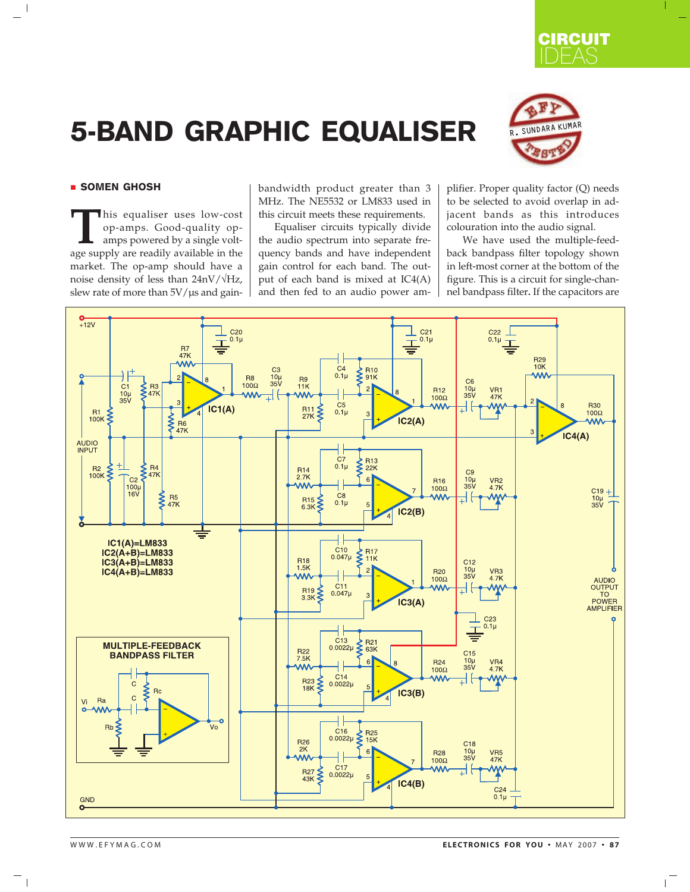

## 5-BAND GRAPHIC EQUALISER R. SUNDARA KUMAR



## **E** SOMEN GHOSH

 $\Box$ 

**This equaliser uses low-cost** op-amps. Good-quality op-amps powered by a single volt-<br>age supply are readily available in the op-amps. Good-quality opamps powered by a single voltmarket. The op-amp should have a noise density of less than  $24nV/\sqrt{Hz}$ , slew rate of more than  $5V/\mu s$  and gainbandwidth product greater than 3 MHz. The NE5532 or LM833 used in this circuit meets these requirements.

Equaliser circuits typically divide the audio spectrum into separate frequency bands and have independent gain control for each band. The output of each band is mixed at IC4(A) and then fed to an audio power amplifier. Proper quality factor (Q) needs to be selected to avoid overlap in adjacent bands as this introduces colouration into the audio signal.

We have used the multiple-feedback bandpass filter topology shown in left-most corner at the bottom of the figure. This is a circuit for single-channel bandpass filter**.** If the capacitors are



 $\overline{\phantom{a}}$ 

 $\overline{1}$